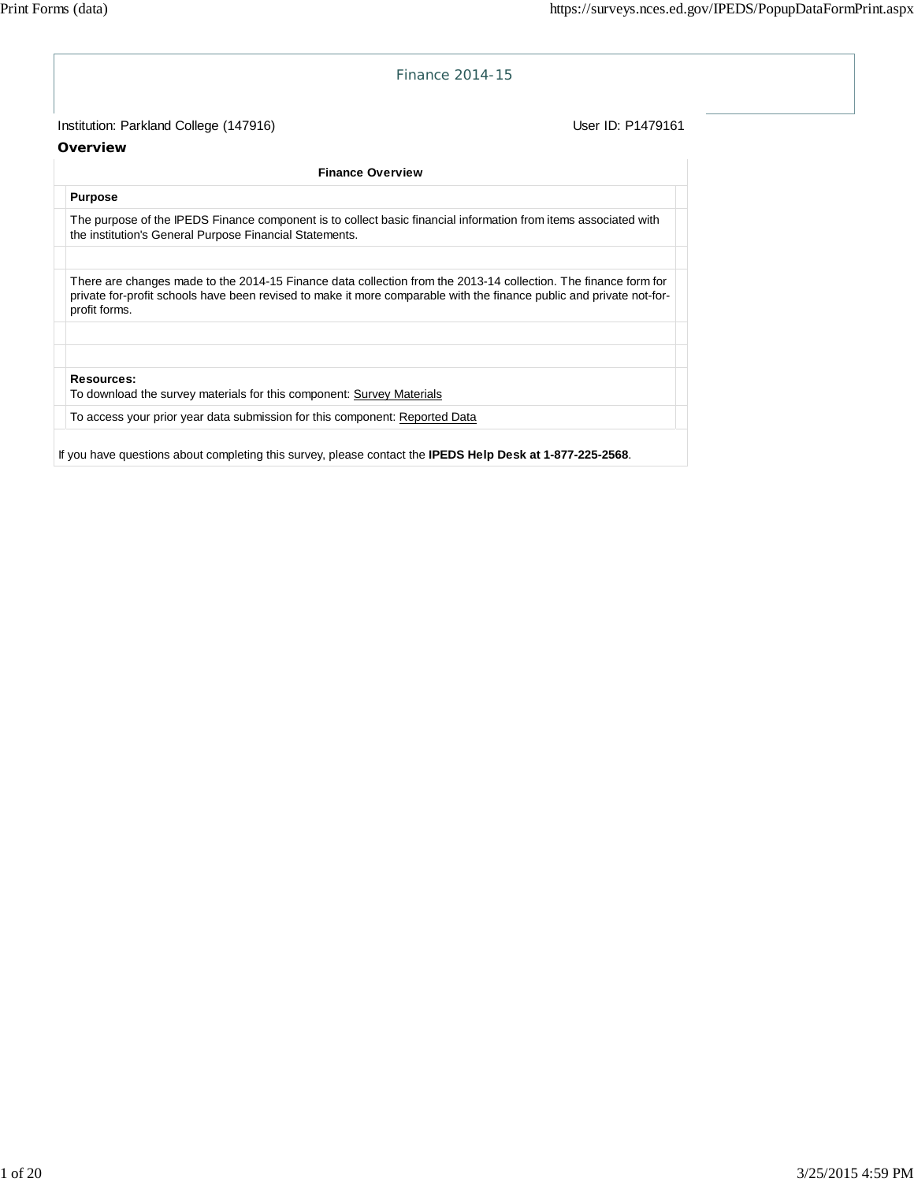|                                                                                                                                                                                                                                                          | Finance 2014-15   |
|----------------------------------------------------------------------------------------------------------------------------------------------------------------------------------------------------------------------------------------------------------|-------------------|
| Institution: Parkland College (147916)                                                                                                                                                                                                                   | User ID: P1479161 |
| Overview                                                                                                                                                                                                                                                 |                   |
| <b>Finance Overview</b>                                                                                                                                                                                                                                  |                   |
| <b>Purpose</b>                                                                                                                                                                                                                                           |                   |
| The purpose of the IPEDS Finance component is to collect basic financial information from items associated with<br>the institution's General Purpose Financial Statements.                                                                               |                   |
| There are changes made to the 2014-15 Finance data collection from the 2013-14 collection. The finance form for<br>private for-profit schools have been revised to make it more comparable with the finance public and private not-for-<br>profit forms. |                   |
| <b>Resources:</b>                                                                                                                                                                                                                                        |                   |
| To download the survey materials for this component: Survey Materials                                                                                                                                                                                    |                   |
| To access your prior year data submission for this component: Reported Data                                                                                                                                                                              |                   |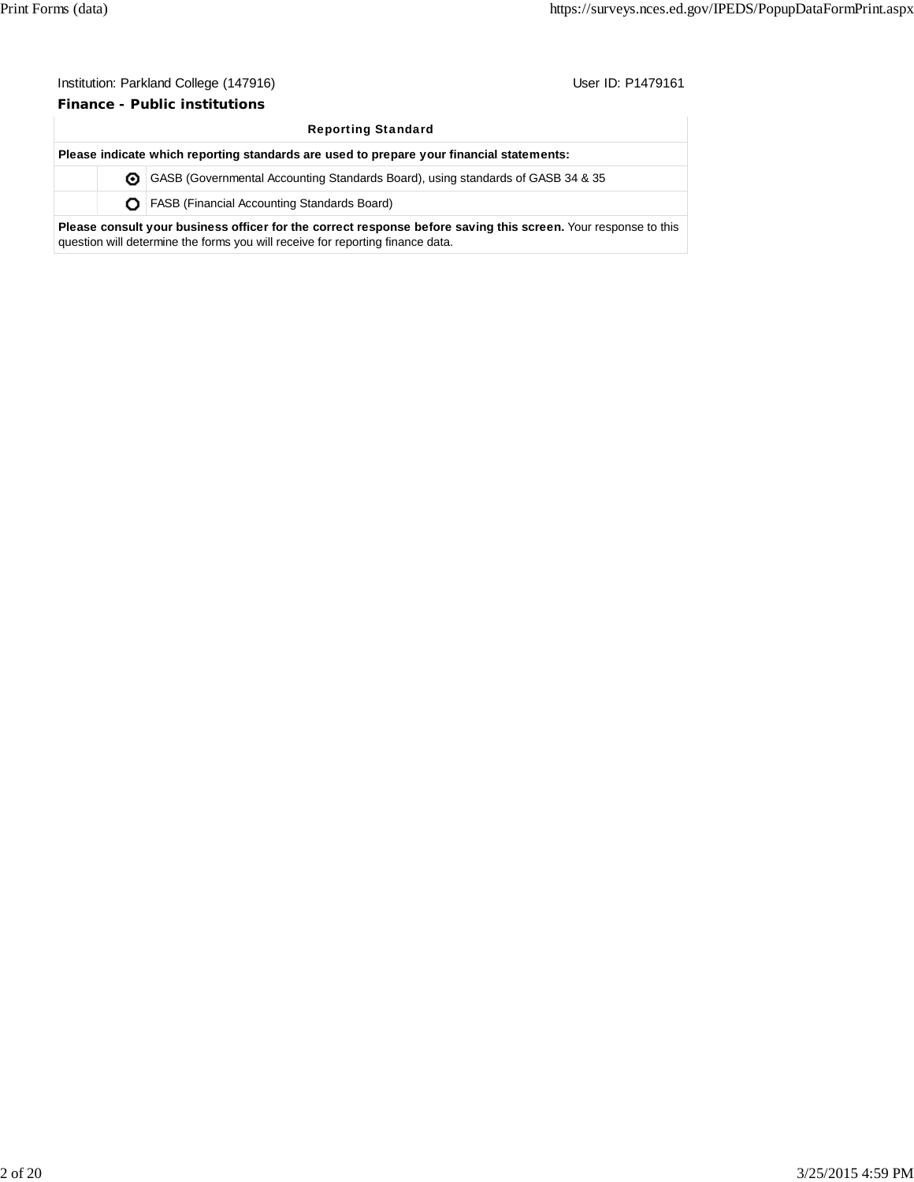# **Finance - Public institutions**

| <b>Reporting Standard</b>                                                                |                                                                                                                                                                                                  |  |  |  |
|------------------------------------------------------------------------------------------|--------------------------------------------------------------------------------------------------------------------------------------------------------------------------------------------------|--|--|--|
| Please indicate which reporting standards are used to prepare your financial statements: |                                                                                                                                                                                                  |  |  |  |
| ⊙                                                                                        | GASB (Governmental Accounting Standards Board), using standards of GASB 34 & 35                                                                                                                  |  |  |  |
| Ω                                                                                        | <b>FASB (Financial Accounting Standards Board)</b>                                                                                                                                               |  |  |  |
|                                                                                          | Please consult your business officer for the correct response before saving this screen. Your response to this<br>question will determine the forms you will receive for reporting finance data. |  |  |  |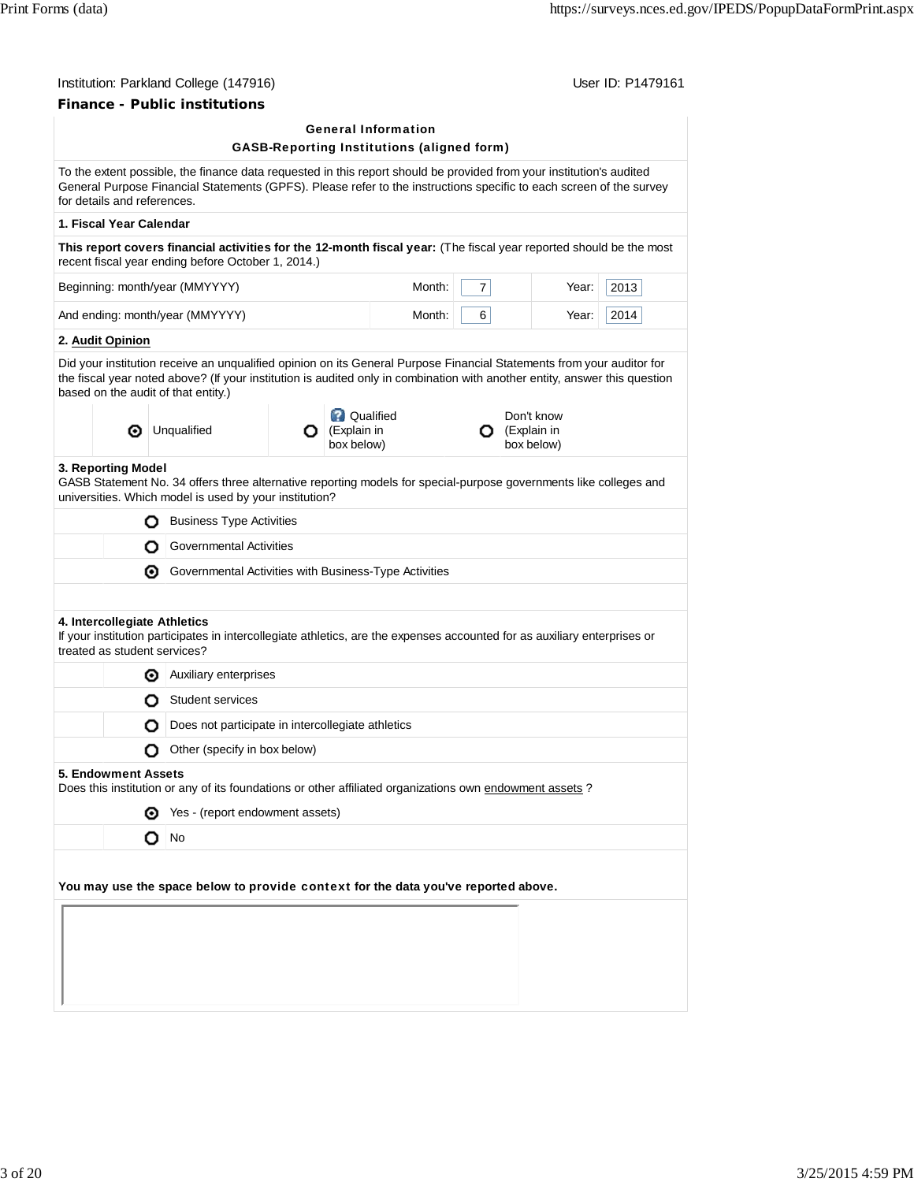# **Finance - Public institutions**

|                                                              |                                                                                                                                                                                                                                                                                            |    |                                                 | <b>General Information</b><br><b>GASB-Reporting Institutions (aligned form)</b> |                |                                         |      |  |
|--------------------------------------------------------------|--------------------------------------------------------------------------------------------------------------------------------------------------------------------------------------------------------------------------------------------------------------------------------------------|----|-------------------------------------------------|---------------------------------------------------------------------------------|----------------|-----------------------------------------|------|--|
| for details and references.                                  | To the extent possible, the finance data requested in this report should be provided from your institution's audited<br>General Purpose Financial Statements (GPFS). Please refer to the instructions specific to each screen of the survey                                                |    |                                                 |                                                                                 |                |                                         |      |  |
| 1. Fiscal Year Calendar                                      |                                                                                                                                                                                                                                                                                            |    |                                                 |                                                                                 |                |                                         |      |  |
|                                                              | This report covers financial activities for the 12-month fiscal year: (The fiscal year reported should be the most<br>recent fiscal year ending before October 1, 2014.)                                                                                                                   |    |                                                 |                                                                                 |                |                                         |      |  |
|                                                              | Beginning: month/year (MMYYYY)                                                                                                                                                                                                                                                             |    |                                                 | Month:                                                                          | $\overline{7}$ | Year:                                   | 2013 |  |
|                                                              | And ending: month/year (MMYYYY)                                                                                                                                                                                                                                                            |    |                                                 | Month:                                                                          | 6              | Year:                                   | 2014 |  |
| 2. Audit Opinion                                             |                                                                                                                                                                                                                                                                                            |    |                                                 |                                                                                 |                |                                         |      |  |
|                                                              | Did your institution receive an unqualified opinion on its General Purpose Financial Statements from your auditor for<br>the fiscal year noted above? (If your institution is audited only in combination with another entity, answer this question<br>based on the audit of that entity.) |    |                                                 |                                                                                 |                |                                         |      |  |
| ⊙                                                            | Unqualified                                                                                                                                                                                                                                                                                | O. | <b>C</b> Qualified<br>(Explain in<br>box below) |                                                                                 | O.             | Don't know<br>(Explain in<br>box below) |      |  |
| 3. Reporting Model                                           | GASB Statement No. 34 offers three alternative reporting models for special-purpose governments like colleges and<br>universities. Which model is used by your institution?                                                                                                                |    |                                                 |                                                                                 |                |                                         |      |  |
| О                                                            | <b>Business Type Activities</b>                                                                                                                                                                                                                                                            |    |                                                 |                                                                                 |                |                                         |      |  |
| о                                                            | Governmental Activities                                                                                                                                                                                                                                                                    |    |                                                 |                                                                                 |                |                                         |      |  |
| ⊙                                                            | Governmental Activities with Business-Type Activities                                                                                                                                                                                                                                      |    |                                                 |                                                                                 |                |                                         |      |  |
| 4. Intercollegiate Athletics<br>treated as student services? | If your institution participates in intercollegiate athletics, are the expenses accounted for as auxiliary enterprises or                                                                                                                                                                  |    |                                                 |                                                                                 |                |                                         |      |  |
| ⊙                                                            | Auxiliary enterprises                                                                                                                                                                                                                                                                      |    |                                                 |                                                                                 |                |                                         |      |  |
| о                                                            | Student services                                                                                                                                                                                                                                                                           |    |                                                 |                                                                                 |                |                                         |      |  |
| о                                                            | Does not participate in intercollegiate athletics                                                                                                                                                                                                                                          |    |                                                 |                                                                                 |                |                                         |      |  |
| O                                                            | Other (specify in box below)                                                                                                                                                                                                                                                               |    |                                                 |                                                                                 |                |                                         |      |  |
| <b>5. Endowment Assets</b>                                   | Does this institution or any of its foundations or other affiliated organizations own endowment assets ?                                                                                                                                                                                   |    |                                                 |                                                                                 |                |                                         |      |  |
| ⊙                                                            | Yes - (report endowment assets)                                                                                                                                                                                                                                                            |    |                                                 |                                                                                 |                |                                         |      |  |
| о                                                            | No                                                                                                                                                                                                                                                                                         |    |                                                 |                                                                                 |                |                                         |      |  |
|                                                              |                                                                                                                                                                                                                                                                                            |    |                                                 |                                                                                 |                |                                         |      |  |
|                                                              | You may use the space below to provide context for the data you've reported above.                                                                                                                                                                                                         |    |                                                 |                                                                                 |                |                                         |      |  |
|                                                              |                                                                                                                                                                                                                                                                                            |    |                                                 |                                                                                 |                |                                         |      |  |
|                                                              |                                                                                                                                                                                                                                                                                            |    |                                                 |                                                                                 |                |                                         |      |  |
|                                                              |                                                                                                                                                                                                                                                                                            |    |                                                 |                                                                                 |                |                                         |      |  |
|                                                              |                                                                                                                                                                                                                                                                                            |    |                                                 |                                                                                 |                |                                         |      |  |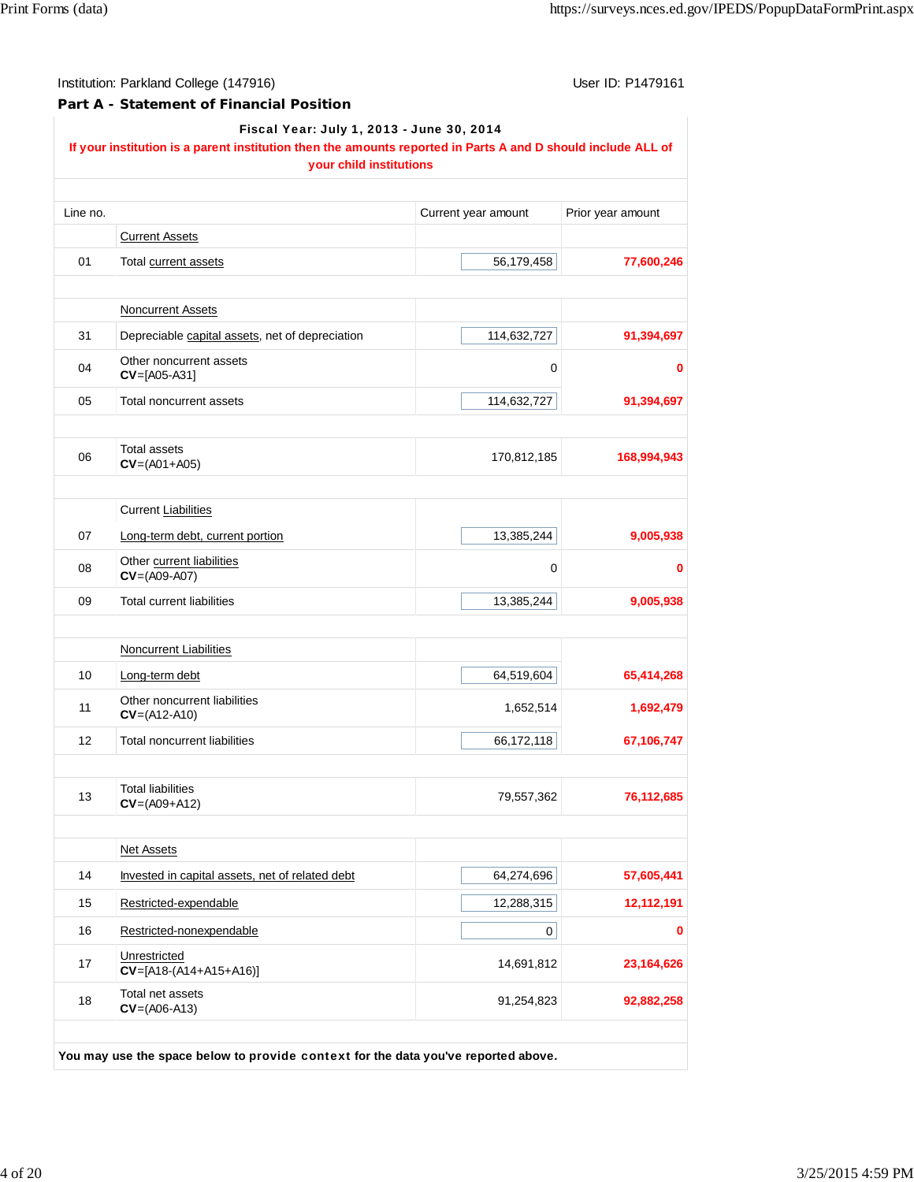# Institution: Parkland College (147916) User ID: P1479161

### **Part A - Statement of Financial Position**

#### Fiscal Year: July 1, 2013 - June 30, 2014

### **If your institution is a parent institution then the amounts reported in Parts A and D should include ALL of your child institutions**

| Line no. |                                                 | Current year amount | Prior year amount |
|----------|-------------------------------------------------|---------------------|-------------------|
|          | <b>Current Assets</b>                           |                     |                   |
| 01       | Total current assets                            | 56,179,458          | 77,600,246        |
|          | Noncurrent Assets                               |                     |                   |
| 31       | Depreciable capital assets, net of depreciation | 114,632,727         | 91,394,697        |
| 04       | Other noncurrent assets<br>$CV=[A05-A31]$       | 0                   |                   |
| 05       | Total noncurrent assets                         | 114,632,727         | 91,394,697        |
| 06       | Total assets<br>$CV=(AO1+AO5)$                  | 170,812,185         | 168,994,943       |
|          | <b>Current Liabilities</b>                      |                     |                   |
| 07       | Long-term debt, current portion                 | 13,385,244          | 9,005,938         |
| 08       | Other current liabilities<br>$CV=(A09-A07)$     | 0                   |                   |
| 09       | <b>Total current liabilities</b>                | 13,385,244          | 9,005,938         |
|          | Noncurrent Liabilities                          |                     |                   |
| 10       | Long-term debt                                  | 64,519,604          | 65,414,268        |
| 11       | Other noncurrent liabilities<br>$CV=(A12-A10)$  | 1,652,514           | 1,692,479         |
| 12       | Total noncurrent liabilities                    | 66,172,118          | 67,106,747        |
| 13       | <b>Total liabilities</b><br>$CV=(AO9+A12)$      | 79,557,362          | 76,112,685        |
|          | <b>Net Assets</b>                               |                     |                   |
| 14       | Invested in capital assets, net of related debt | 64,274,696          | 57,605,441        |
| 15       | Restricted-expendable                           | 12,288,315          | 12,112,191        |
| 16       | Restricted-nonexpendable                        | $\mathbf 0$         |                   |
| 17       | Unrestricted<br>$CV=[A18-(A14+A15+A16)]$        | 14,691,812          | 23, 164, 626      |
| 18       | Total net assets<br>$CV=(AO6-A13)$              | 91,254,823          | 92,882,258        |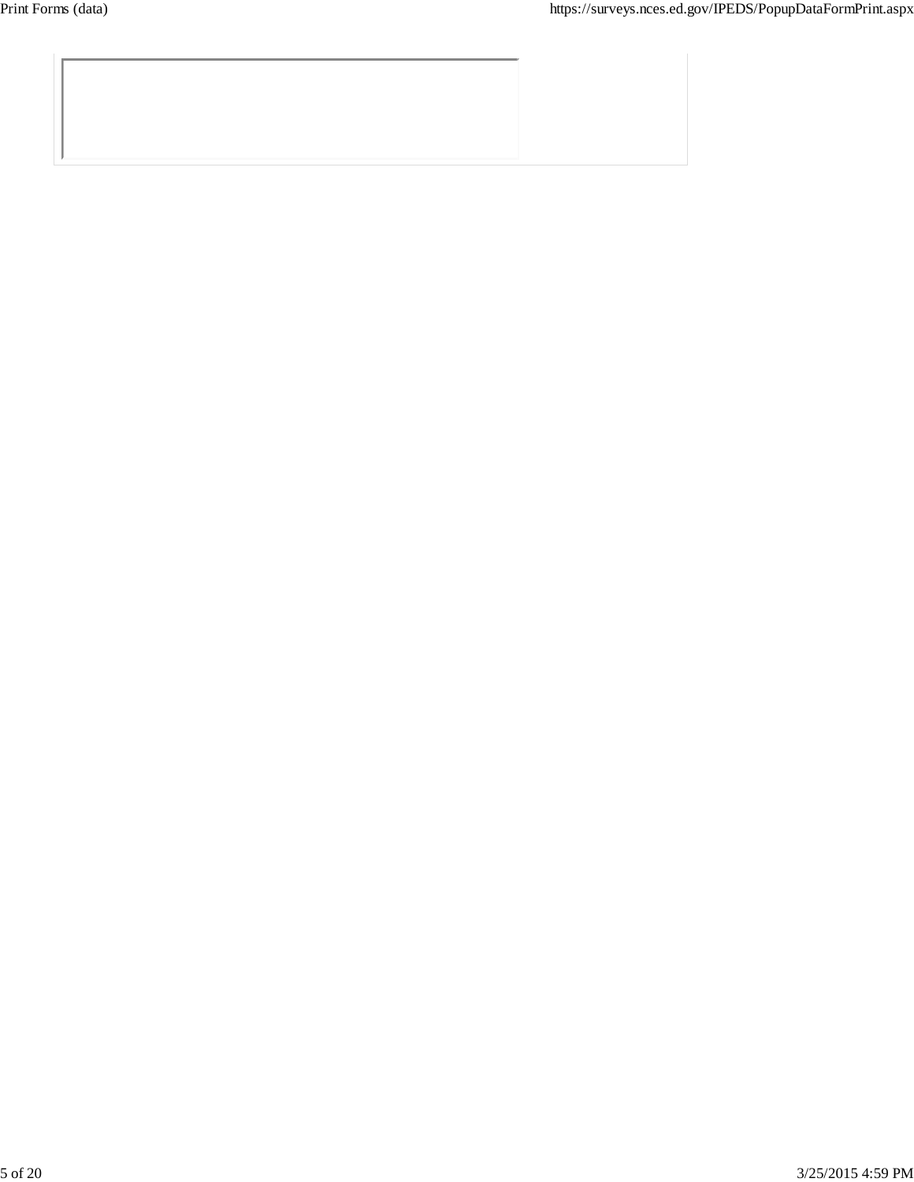|--|--|--|--|--|--|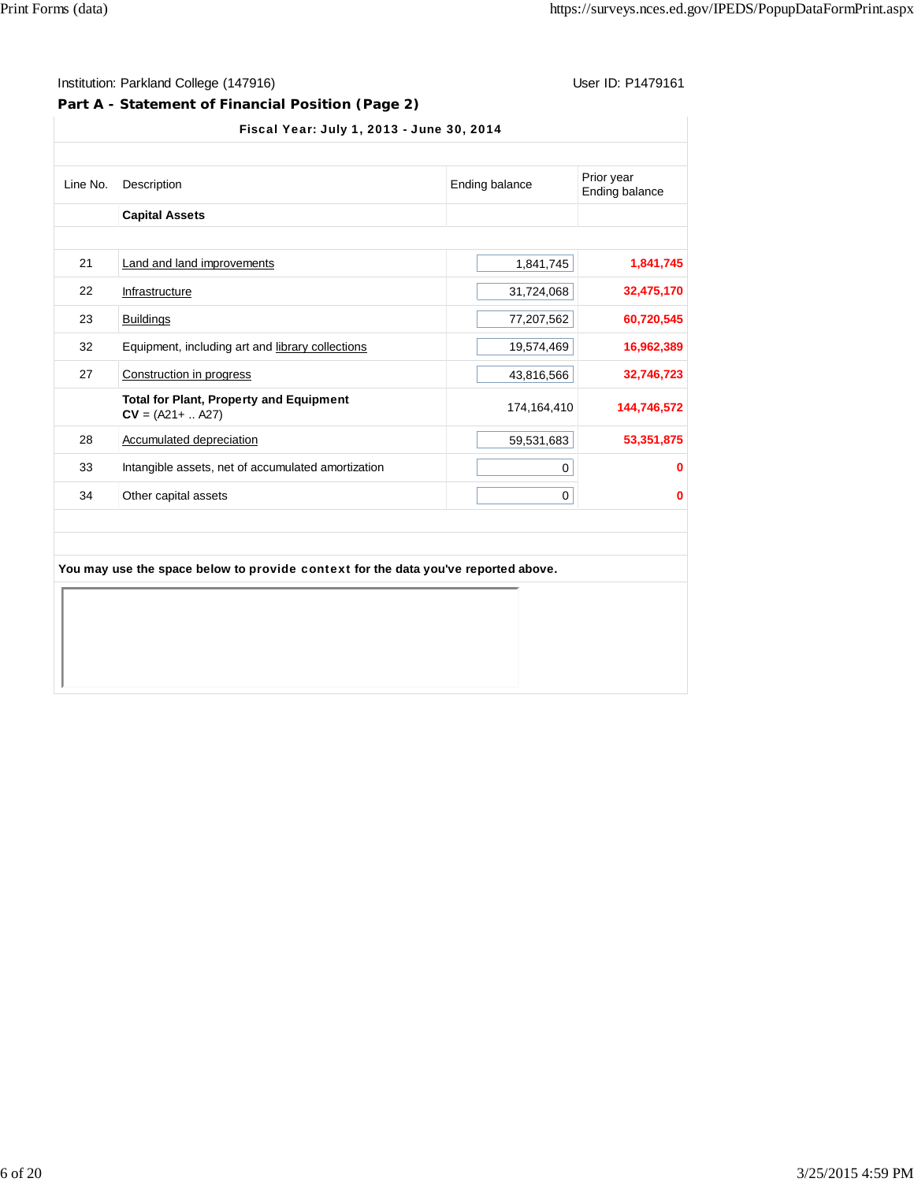### **Part A - Statement of Financial Position (Page 2)**

Fiscal Year: July 1, 2013 - June 30, 2014

| Line No. | Description                                                           | Ending balance | Prior year<br>Ending balance |
|----------|-----------------------------------------------------------------------|----------------|------------------------------|
|          | <b>Capital Assets</b>                                                 |                |                              |
|          |                                                                       |                |                              |
| 21       | Land and land improvements                                            | 1,841,745      | 1,841,745                    |
| 22       | Infrastructure                                                        | 31,724,068     | 32,475,170                   |
| 23       | <b>Buildings</b>                                                      | 77,207,562     | 60,720,545                   |
| 32       | Equipment, including art and library collections                      | 19,574,469     | 16,962,389                   |
| 27       | Construction in progress                                              | 43,816,566     | 32,746,723                   |
|          | <b>Total for Plant, Property and Equipment</b><br>$CV = (A21 +  A27)$ | 174,164,410    | 144,746,572                  |
| 28       | Accumulated depreciation                                              | 59,531,683     | 53,351,875                   |
| 33       | Intangible assets, net of accumulated amortization                    | 0              | 0                            |
| 34       | Other capital assets                                                  | 0              | 0                            |

#### **You may use the space below to** provide context **for the data you've reported above.**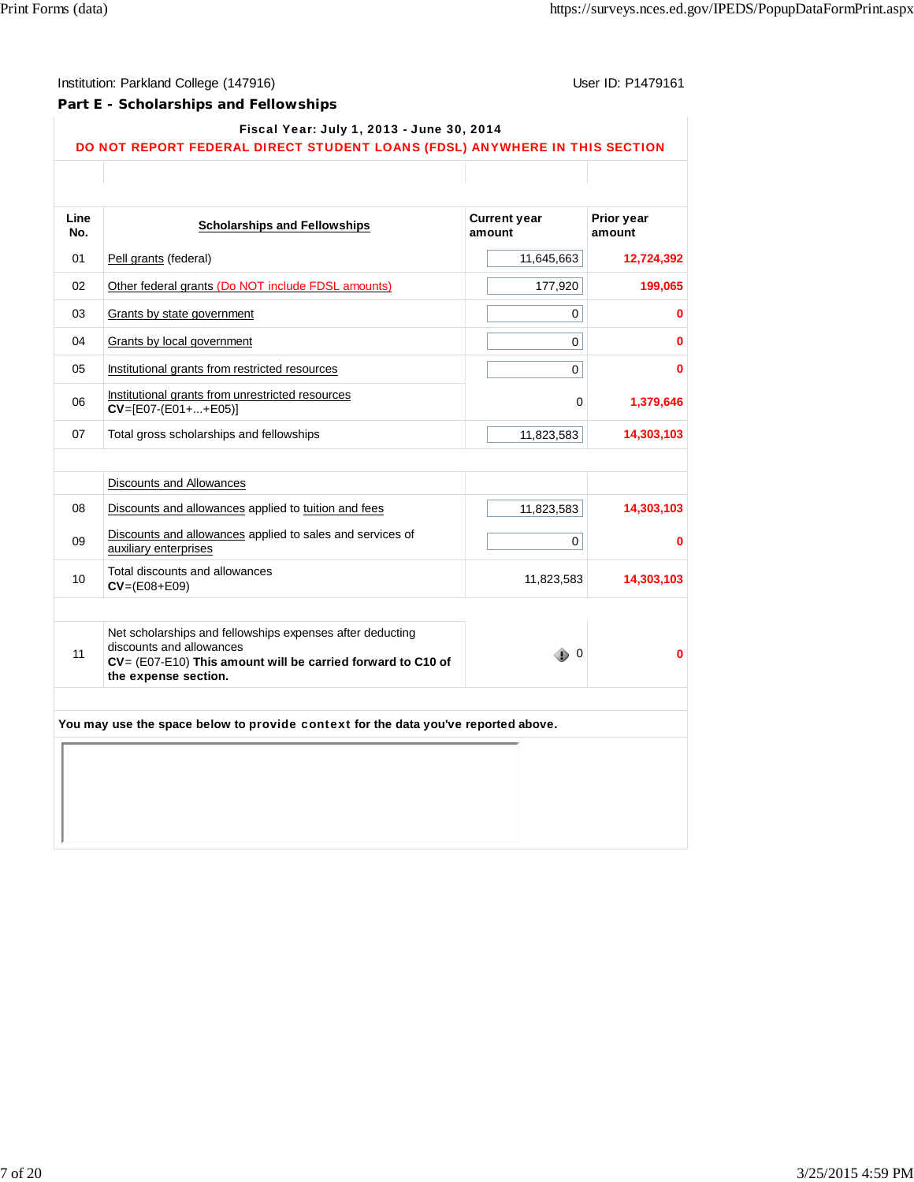# **Part E - Scholarships and Fellowships**

#### Fiscal Year: July 1, 2013 - June 30, 2014

# DO NOT REPORT FEDERAL DIRECT STUDENT LOANS (FDSL) ANYWHERE IN THIS SECTION

| Line<br>No.      | <b>Scholarships and Fellowships</b>                                                | <b>Current year</b><br>amount | Prior year<br>amount |
|------------------|------------------------------------------------------------------------------------|-------------------------------|----------------------|
| 01               | Pell grants (federal)                                                              | 11,645,663                    | 12,724,392           |
| 02               | Other federal grants (Do NOT include FDSL amounts)                                 | 177,920                       | 199,065              |
| 03               | Grants by state government                                                         | $\mathbf 0$                   | 0                    |
| 04               | Grants by local government                                                         | 0                             | $\bf{0}$             |
| 05               | Institutional grants from restricted resources                                     | $\overline{0}$                | $\bf{0}$             |
| 06               | Institutional grants from unrestricted resources<br>$CV=[E07-(E01++E05)]$          | $\Omega$                      | 1,379,646            |
| 07               | Total gross scholarships and fellowships                                           | 11,823,583                    | 14,303,103           |
|                  |                                                                                    |                               |                      |
|                  | <b>Discounts and Allowances</b>                                                    |                               |                      |
| 08               | Discounts and allowances applied to tuition and fees                               | 11,823,583                    | 14,303,103           |
| 09               | Discounts and allowances applied to sales and services of<br>auxiliary enterprises | $\mathbf 0$                   | 0                    |
| 10 <sup>10</sup> | Total discounts and allowances<br>$CV = (E08 + E09)$                               | 11,823,583                    | 14,303,103           |
|                  |                                                                                    |                               |                      |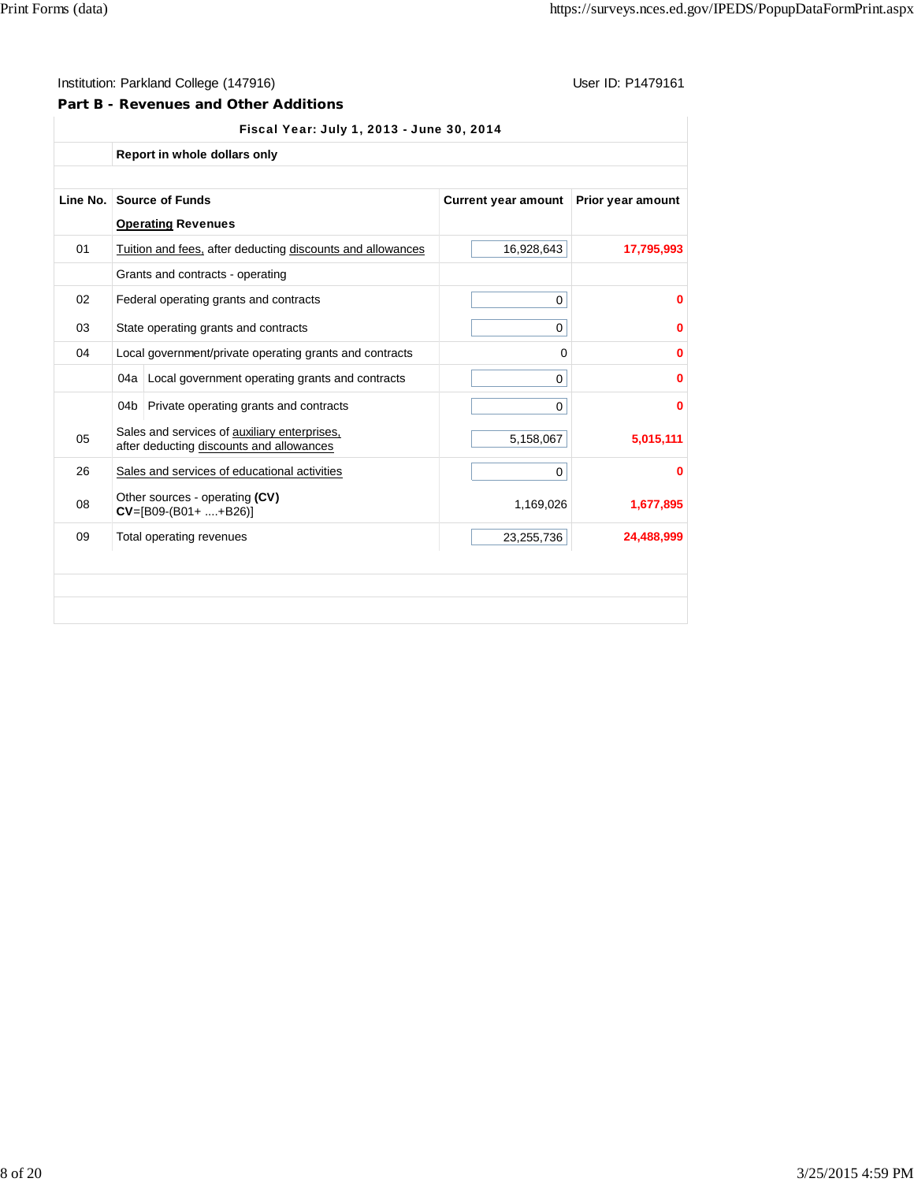# Institution: Parkland College (147916) Contract College (147916)

# **Part B - Revenues and Other Additions**

| Fiscal Year: July 1, 2013 - June 30, 2014 |  |  |  |  |
|-------------------------------------------|--|--|--|--|
|                                           |  |  |  |  |

| Line No. |     | <b>Source of Funds</b>                                                                   | <b>Current year amount</b> | Prior year amount |
|----------|-----|------------------------------------------------------------------------------------------|----------------------------|-------------------|
|          |     | <b>Operating Revenues</b>                                                                |                            |                   |
| 01       |     | Tuition and fees, after deducting discounts and allowances                               | 16,928,643                 | 17,795,993        |
|          |     | Grants and contracts - operating                                                         |                            |                   |
| 02       |     | Federal operating grants and contracts                                                   | $\mathbf 0$                | $\bf{0}$          |
| 03       |     | State operating grants and contracts                                                     | $\mathbf 0$                | 0                 |
| 04       |     | Local government/private operating grants and contracts                                  | $\Omega$                   | $\mathbf 0$       |
|          | 04a | Local government operating grants and contracts                                          | 0                          | $\bf{0}$          |
|          | 04b | Private operating grants and contracts                                                   | 0                          | $\mathbf 0$       |
| 05       |     | Sales and services of auxiliary enterprises,<br>after deducting discounts and allowances | 5,158,067                  | 5,015,111         |
| 26       |     | Sales and services of educational activities                                             | 0                          | 0                 |
| 08       |     | Other sources - operating (CV)<br>$CV=[B09-(B01++B26)]$                                  | 1,169,026                  | 1,677,895         |
| 09       |     | Total operating revenues                                                                 | 23,255,736                 | 24.488.999        |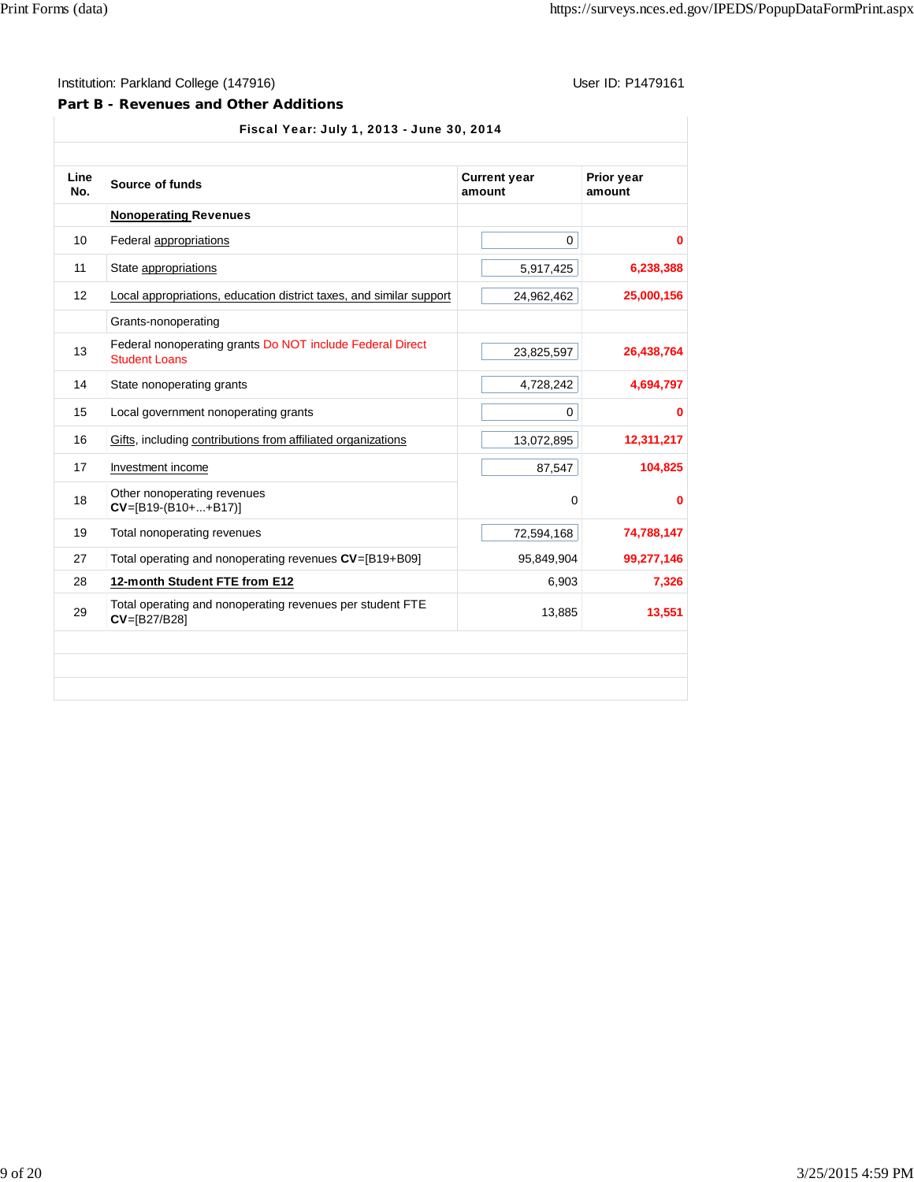### **Part B - Revenues and Other Additions**

Fiscal Year: July 1, 2013 - June 30, 2014

| Line<br>No. | Source of funds                                                                   | <b>Current year</b><br>amount | Prior year<br>amount |
|-------------|-----------------------------------------------------------------------------------|-------------------------------|----------------------|
|             | <b>Nonoperating Revenues</b>                                                      |                               |                      |
| 10          | Federal appropriations                                                            | $\mathbf 0$                   | 0                    |
| 11          | State appropriations                                                              | 5,917,425                     | 6,238,388            |
| 12          | Local appropriations, education district taxes, and similar support               | 24,962,462                    | 25,000,156           |
|             | Grants-nonoperating                                                               |                               |                      |
| 13          | Federal nonoperating grants Do NOT include Federal Direct<br><b>Student Loans</b> | 23,825,597                    | 26,438,764           |
| 14          | State nonoperating grants                                                         | 4,728,242                     | 4,694,797            |
| 15          | Local government nonoperating grants                                              | 0                             | 0                    |
| 16          | Gifts, including contributions from affiliated organizations                      | 13,072,895                    | 12,311,217           |
| 17          | Investment income                                                                 | 87,547                        | 104,825              |
| 18          | Other nonoperating revenues<br>$CV=[B19-(B10++B17)]$                              | $\mathbf 0$                   | $\bf{0}$             |
| 19          | Total nonoperating revenues                                                       | 72,594,168                    | 74,788,147           |
| 27          | Total operating and nonoperating revenues CV=[B19+B09]                            | 95,849,904                    | 99,277,146           |
| 28          | 12-month Student FTE from E12                                                     | 6,903                         | 7,326                |
| 29          | Total operating and nonoperating revenues per student FTE<br>CV=[B27/B28]         | 13,885                        | 13,551               |
|             |                                                                                   |                               |                      |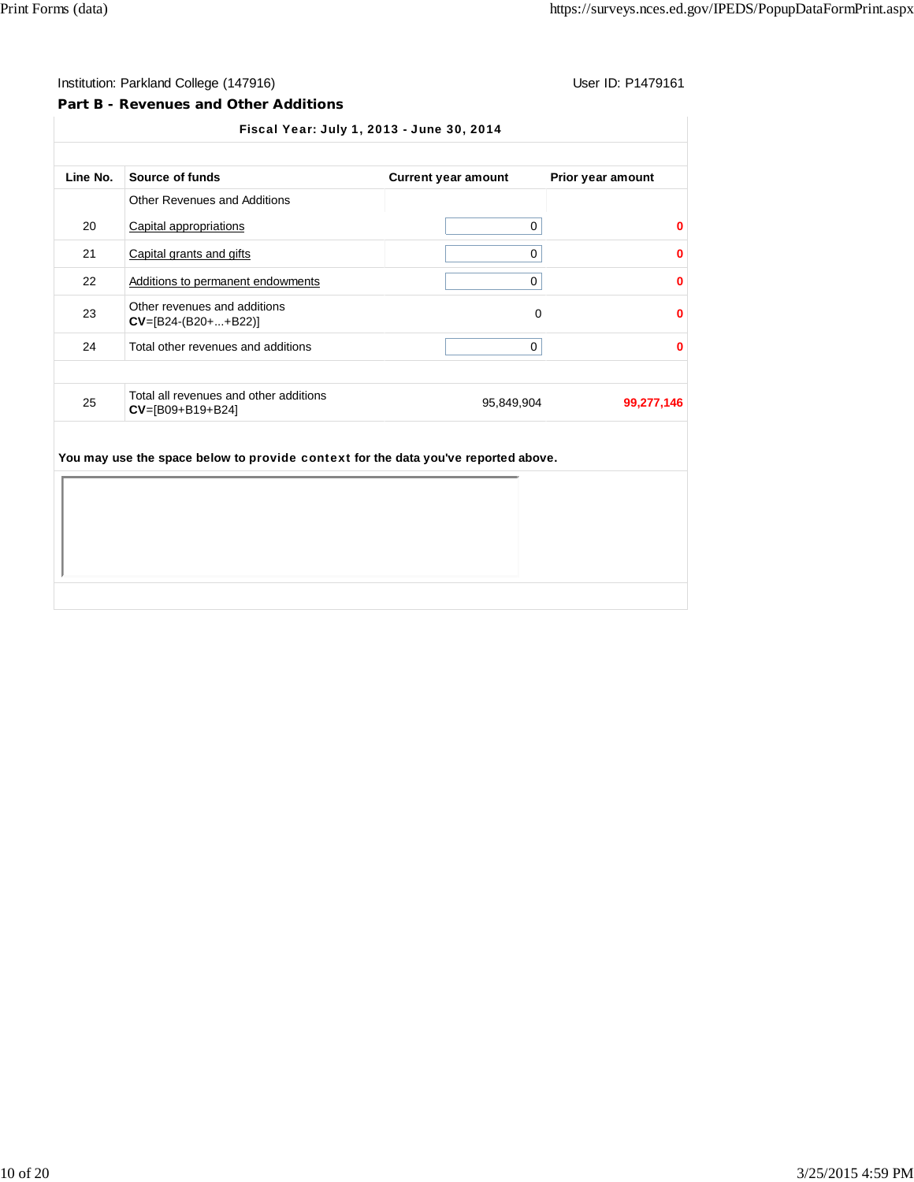### **Part B - Revenues and Other Additions**

|  | Fiscal Year: July 1, 2013 - June 30, 2014 |  |
|--|-------------------------------------------|--|

| Line No. | Source of funds                                              | <b>Current year amount</b> | Prior year amount |
|----------|--------------------------------------------------------------|----------------------------|-------------------|
|          | Other Revenues and Additions                                 |                            |                   |
| 20       | Capital appropriations                                       | 0                          | $\mathbf{0}$      |
| 21       | Capital grants and gifts                                     | 0                          | $\mathbf{0}$      |
| 22       | Additions to permanent endowments                            | 0                          | $\mathbf{0}$      |
| 23       | Other revenues and additions<br>$CV=[B24-(B20++B22)]$        | $\Omega$                   | $\mathbf{0}$      |
| 24       | Total other revenues and additions                           | $\Omega$                   | $\bf{0}$          |
| 25       | Total all revenues and other additions<br>$CV=[B09+B19+B24]$ | 95,849,904                 | 99,277,146        |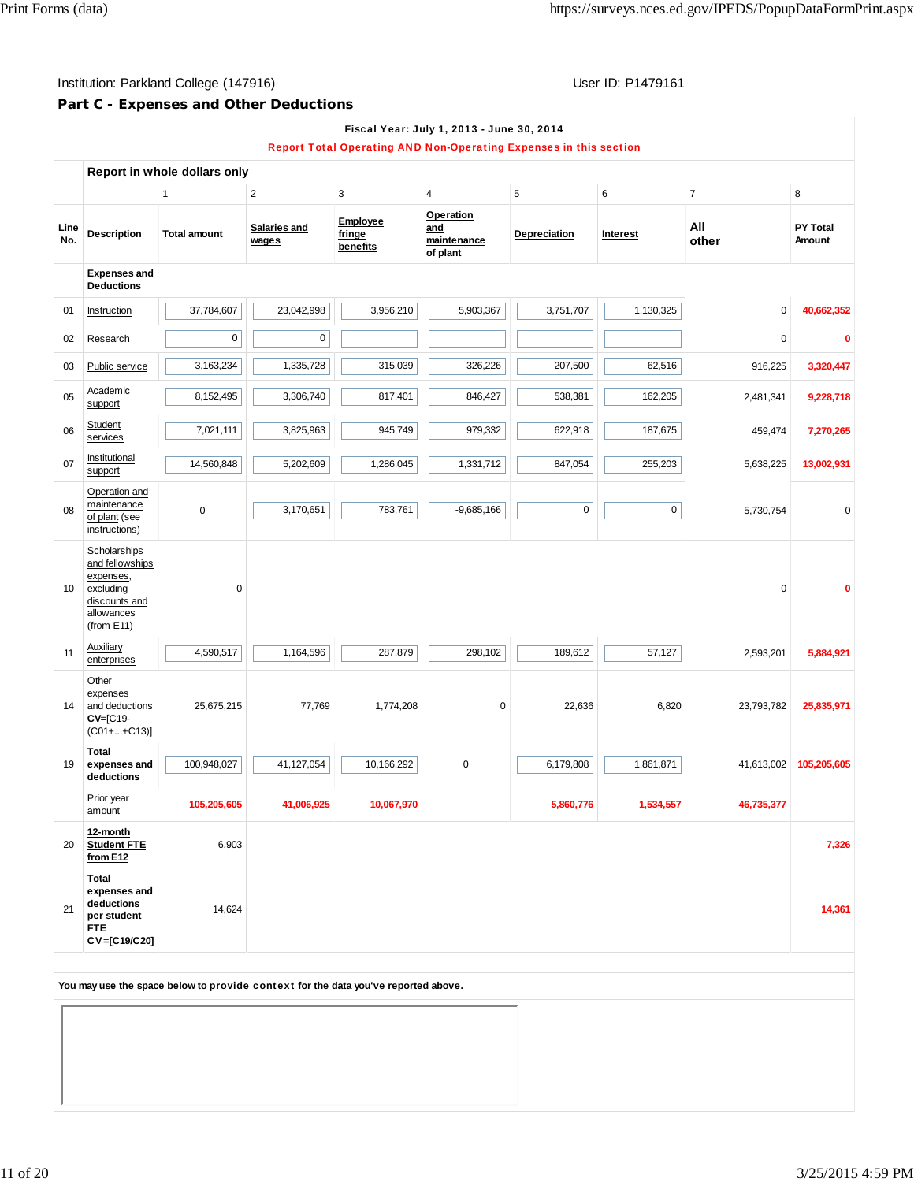### **Part C - Expenses and Other Deductions**

|             |                                                                                                           |                              |                              | Report Total Operating AND Non-Operating Expenses in this section                  | Fiscal Year: July 1, 2013 - June 30, 2014   |              |             |                |                           |
|-------------|-----------------------------------------------------------------------------------------------------------|------------------------------|------------------------------|------------------------------------------------------------------------------------|---------------------------------------------|--------------|-------------|----------------|---------------------------|
|             |                                                                                                           | Report in whole dollars only |                              |                                                                                    |                                             |              |             |                |                           |
|             |                                                                                                           | 1                            | $\overline{2}$               | 3                                                                                  | $\overline{\mathbf{4}}$                     | 5            | $\,6$       | $\overline{7}$ | 8                         |
| Line<br>No. | <b>Description</b>                                                                                        | <b>Total amount</b>          | <b>Salaries and</b><br>wages | Employee<br>fringe<br>benefits                                                     | Operation<br>and<br>maintenance<br>of plant | Depreciation | Interest    | All<br>other   | <b>PY Total</b><br>Amount |
|             | <b>Expenses and</b><br><b>Deductions</b>                                                                  |                              |                              |                                                                                    |                                             |              |             |                |                           |
| 01          | Instruction                                                                                               | 37,784,607                   | 23,042,998                   | 3,956,210                                                                          | 5,903,367                                   | 3,751,707    | 1,130,325   | $\pmb{0}$      | 40,662,352                |
| 02          | Research                                                                                                  | $\mathsf 0$                  | $\mathsf 0$                  |                                                                                    |                                             |              |             | $\pmb{0}$      | 0                         |
| 03          | Public service                                                                                            | 3,163,234                    | 1,335,728                    | 315,039                                                                            | 326,226                                     | 207,500      | 62,516      | 916,225        | 3,320,447                 |
| 05          | Academic<br>support                                                                                       | 8,152,495                    | 3,306,740                    | 817,401                                                                            | 846,427                                     | 538,381      | 162,205     | 2,481,341      | 9,228,718                 |
| 06          | Student<br>services                                                                                       | 7,021,111                    | 3,825,963                    | 945,749                                                                            | 979,332                                     | 622,918      | 187,675     | 459,474        | 7,270,265                 |
| 07          | Institutional<br>support                                                                                  | 14,560,848                   | 5,202,609                    | 1,286,045                                                                          | 1,331,712                                   | 847,054      | 255,203     | 5,638,225      | 13,002,931                |
| 08          | Operation and<br>maintenance<br>of plant (see<br>instructions)                                            | 0                            | 3,170,651                    | 783,761                                                                            | $-9,685,166$                                | $\mathsf 0$  | $\mathbf 0$ | 5,730,754      | 0                         |
| 10          | Scholarships<br>and fellowships<br>expenses,<br>excluding<br>discounts and<br>allowances<br>(from $E11$ ) | $\mathbf 0$                  |                              |                                                                                    |                                             |              |             | $\pmb{0}$      |                           |
| 11          | Auxiliary<br>enterprises                                                                                  | 4,590,517                    | 1,164,596                    | 287,879                                                                            | 298,102                                     | 189,612      | 57,127      | 2,593,201      | 5,884,921                 |
| 14          | Other<br>expenses<br>and deductions<br>$CV=[C19-$<br>$(C01++C13)$                                         | 25,675,215                   | 77,769                       | 1,774,208                                                                          | 0                                           | 22,636       | 6,820       | 23,793,782     | 25,835,971                |
| 19          | Total<br>expenses and<br>deductions                                                                       | 100,948,027                  | 41,127,054                   | 10,166,292                                                                         | $\mathbf 0$                                 | 6,179,808    | 1,861,871   | 41,613,002     | 105,205,605               |
|             | Prior year<br>amount                                                                                      | 105,205,605                  | 41,006,925                   | 10,067,970                                                                         |                                             | 5,860,776    | 1,534,557   | 46,735,377     |                           |
| 20          | 12-month<br><b>Student FTE</b><br>from E12                                                                | 6,903                        |                              |                                                                                    |                                             |              |             |                | 7,326                     |
| 21          | <b>Total</b><br>expenses and<br>deductions<br>per student<br><b>FTE</b><br>CV=[C19/C20]                   | 14,624                       |                              |                                                                                    |                                             |              |             |                | 14,361                    |
|             |                                                                                                           |                              |                              |                                                                                    |                                             |              |             |                |                           |
|             |                                                                                                           |                              |                              | You may use the space below to provide context for the data you've reported above. |                                             |              |             |                |                           |
|             |                                                                                                           |                              |                              |                                                                                    |                                             |              |             |                |                           |
|             |                                                                                                           |                              |                              |                                                                                    |                                             |              |             |                |                           |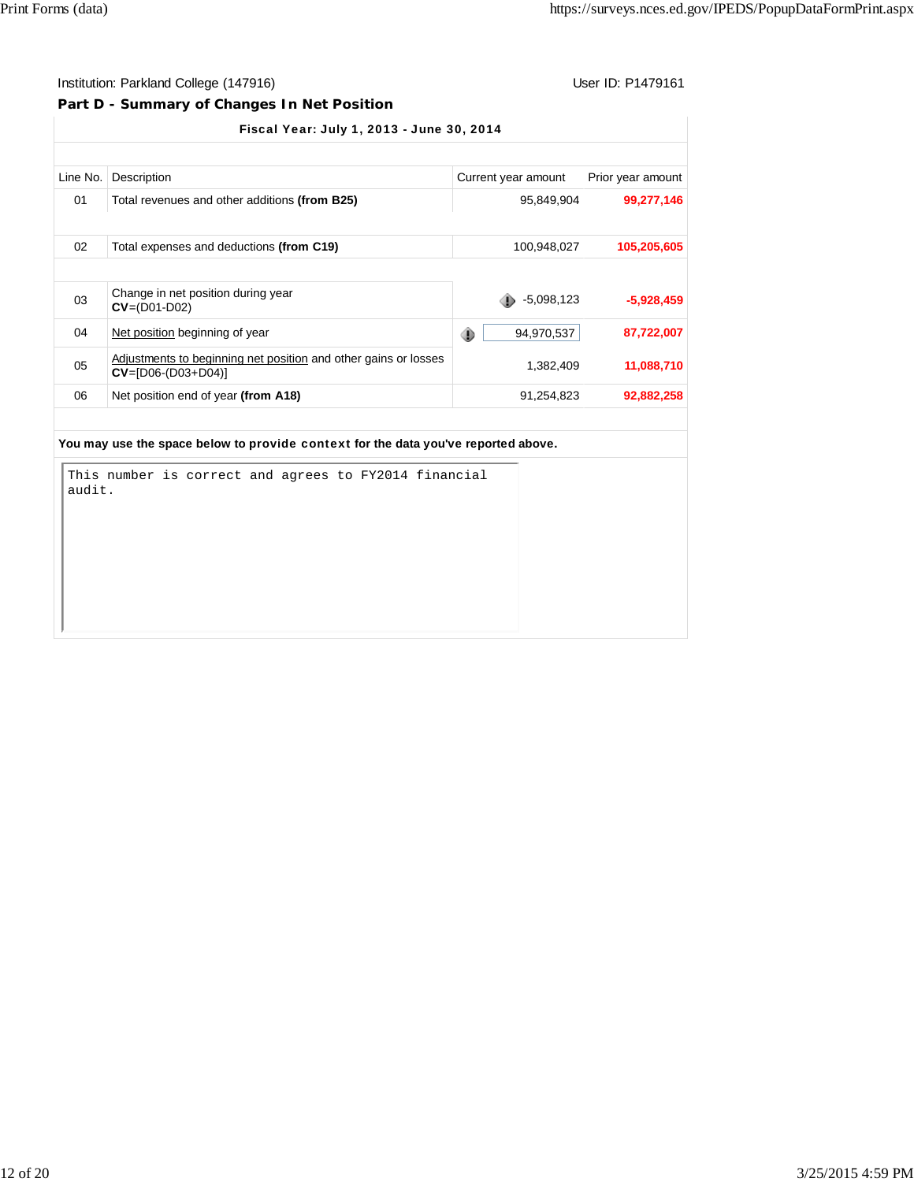# **Part D - Summary of Changes In Net Position**

Fiscal Year: July 1, 2013 - June 30, 2014

| Line No. | Description                                                                             | Current year amount | Prior year amount |
|----------|-----------------------------------------------------------------------------------------|---------------------|-------------------|
| 01       | Total revenues and other additions (from B25)                                           | 95,849,904          | 99,277,146        |
| 02       | Total expenses and deductions (from C19)                                                | 100,948,027         | 105,205,605       |
|          |                                                                                         |                     |                   |
| 03       | Change in net position during year<br>$CV = (D01-D02)$                                  | $-5,098,123$        | $-5,928,459$      |
| 04       | Net position beginning of year                                                          | 94,970,537<br>O     | 87,722,007        |
| 05       | Adjustments to beginning net position and other gains or losses<br>$CV=[D06-(D03+D04)]$ | 1,382,409           | 11,088,710        |
| 06       | Net position end of year (from A18)                                                     | 91,254,823          | 92,882,258        |

This number is correct and agrees to FY2014 financial audit.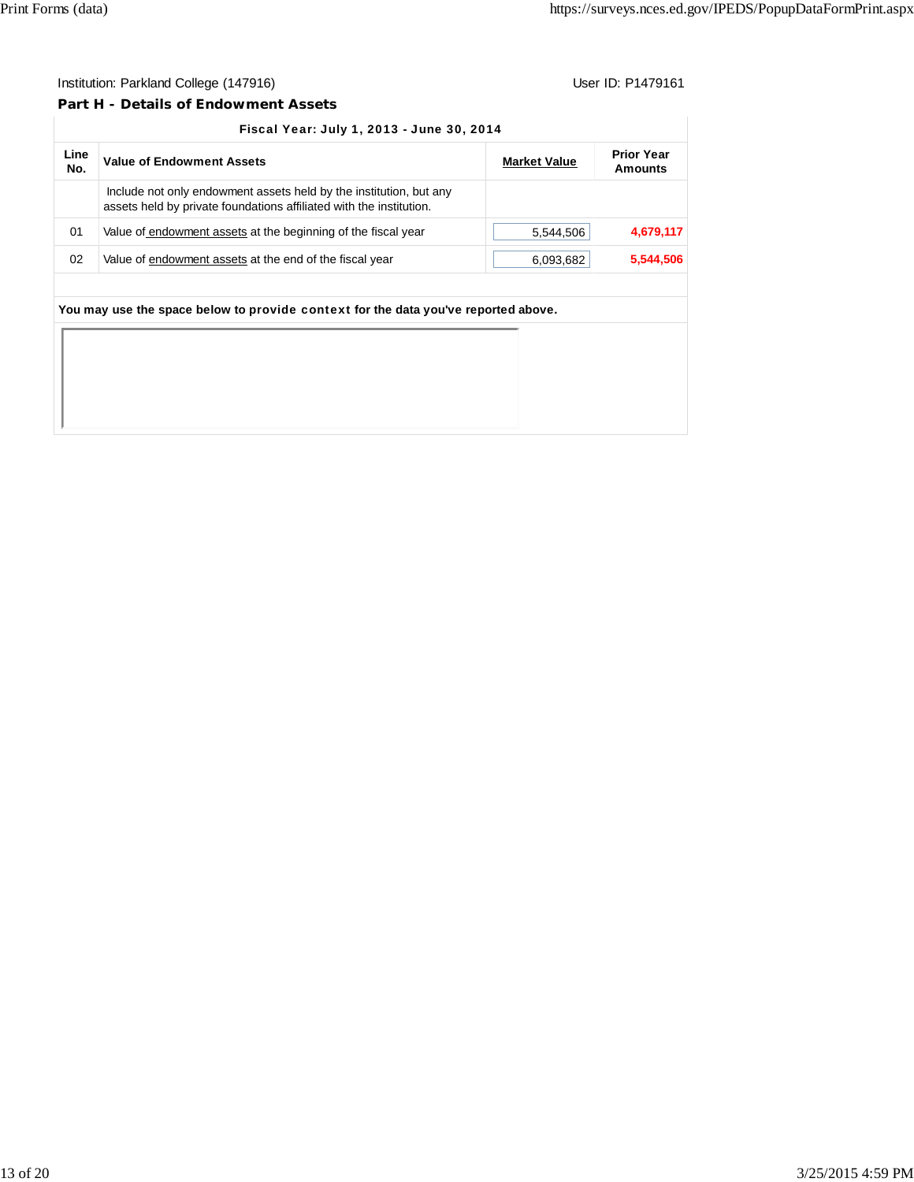# **Part H - Details of Endowment Assets**

| Line<br>No. | <b>Value of Endowment Assets</b>                                                                                                          | <b>Market Value</b> | <b>Prior Year</b><br><b>Amounts</b> |
|-------------|-------------------------------------------------------------------------------------------------------------------------------------------|---------------------|-------------------------------------|
|             | Include not only endowment assets held by the institution, but any<br>assets held by private foundations affiliated with the institution. |                     |                                     |
| 01          | Value of endowment assets at the beginning of the fiscal year                                                                             | 5.544.506           | 4,679,117                           |
| 02          | Value of endowment assets at the end of the fiscal year                                                                                   | 6,093,682           | 5,544,506                           |
|             | You may use the space below to provide context for the data you've reported above.                                                        |                     |                                     |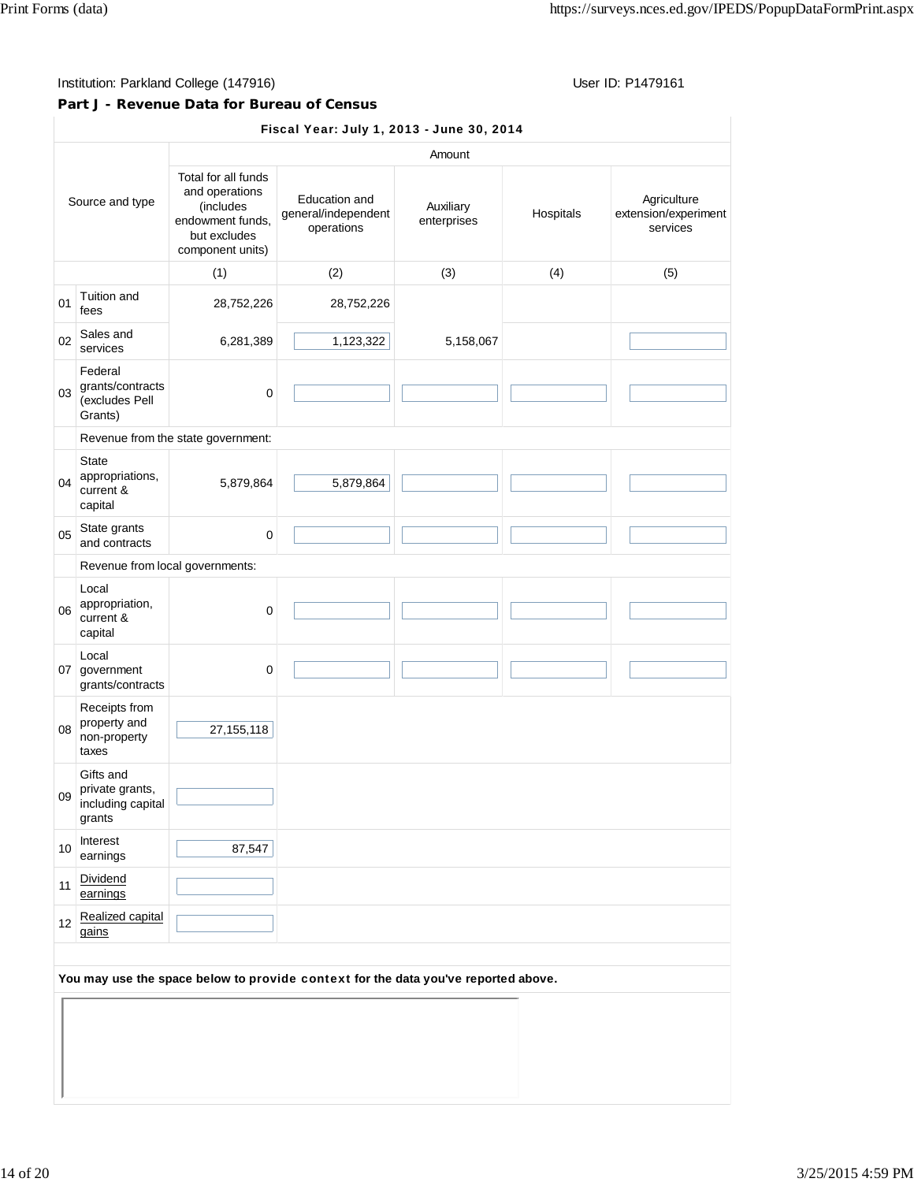# **Part J - Revenue Data for Bureau of Census**

|                 |                                                                |                                                                                                            |                                                                                    | Amount                   |           |                                                 |  |
|-----------------|----------------------------------------------------------------|------------------------------------------------------------------------------------------------------------|------------------------------------------------------------------------------------|--------------------------|-----------|-------------------------------------------------|--|
| Source and type |                                                                | Total for all funds<br>and operations<br>(includes<br>endowment funds,<br>but excludes<br>component units) | Education and<br>general/independent<br>operations                                 | Auxiliary<br>enterprises | Hospitals | Agriculture<br>extension/experiment<br>services |  |
|                 |                                                                | (1)                                                                                                        | (2)                                                                                | (3)                      | (4)       | (5)                                             |  |
| 01              | Tuition and<br>fees                                            | 28,752,226                                                                                                 | 28,752,226                                                                         |                          |           |                                                 |  |
| 02              | Sales and<br>services                                          | 6,281,389                                                                                                  | 1,123,322                                                                          | 5,158,067                |           |                                                 |  |
| 03              | Federal<br>grants/contracts<br>(excludes Pell<br>Grants)       | 0                                                                                                          |                                                                                    |                          |           |                                                 |  |
|                 |                                                                | Revenue from the state government:                                                                         |                                                                                    |                          |           |                                                 |  |
| 04              | <b>State</b><br>appropriations,<br>current &<br>capital        | 5,879,864                                                                                                  | 5,879,864                                                                          |                          |           |                                                 |  |
| 05              | State grants<br>and contracts                                  | 0                                                                                                          |                                                                                    |                          |           |                                                 |  |
|                 | Revenue from local governments:                                |                                                                                                            |                                                                                    |                          |           |                                                 |  |
| 06              | Local<br>appropriation,<br>current &<br>capital                | 0                                                                                                          |                                                                                    |                          |           |                                                 |  |
| 07              | Local<br>government<br>grants/contracts                        | 0                                                                                                          |                                                                                    |                          |           |                                                 |  |
| 08              | Receipts from<br>property and<br>non-property<br>taxes         | 27, 155, 118                                                                                               |                                                                                    |                          |           |                                                 |  |
|                 | Gifts and<br>09 private grants,<br>including capital<br>grants |                                                                                                            |                                                                                    |                          |           |                                                 |  |
| 10              | Interest<br>earnings                                           | 87,547                                                                                                     |                                                                                    |                          |           |                                                 |  |
| 11              | Dividend<br>earnings                                           |                                                                                                            |                                                                                    |                          |           |                                                 |  |
| 12              | Realized capital<br>gains                                      |                                                                                                            |                                                                                    |                          |           |                                                 |  |
|                 |                                                                |                                                                                                            |                                                                                    |                          |           |                                                 |  |
|                 |                                                                |                                                                                                            | You may use the space below to provide context for the data you've reported above. |                          |           |                                                 |  |
|                 |                                                                |                                                                                                            |                                                                                    |                          |           |                                                 |  |
|                 |                                                                |                                                                                                            |                                                                                    |                          |           |                                                 |  |
|                 |                                                                |                                                                                                            |                                                                                    |                          |           |                                                 |  |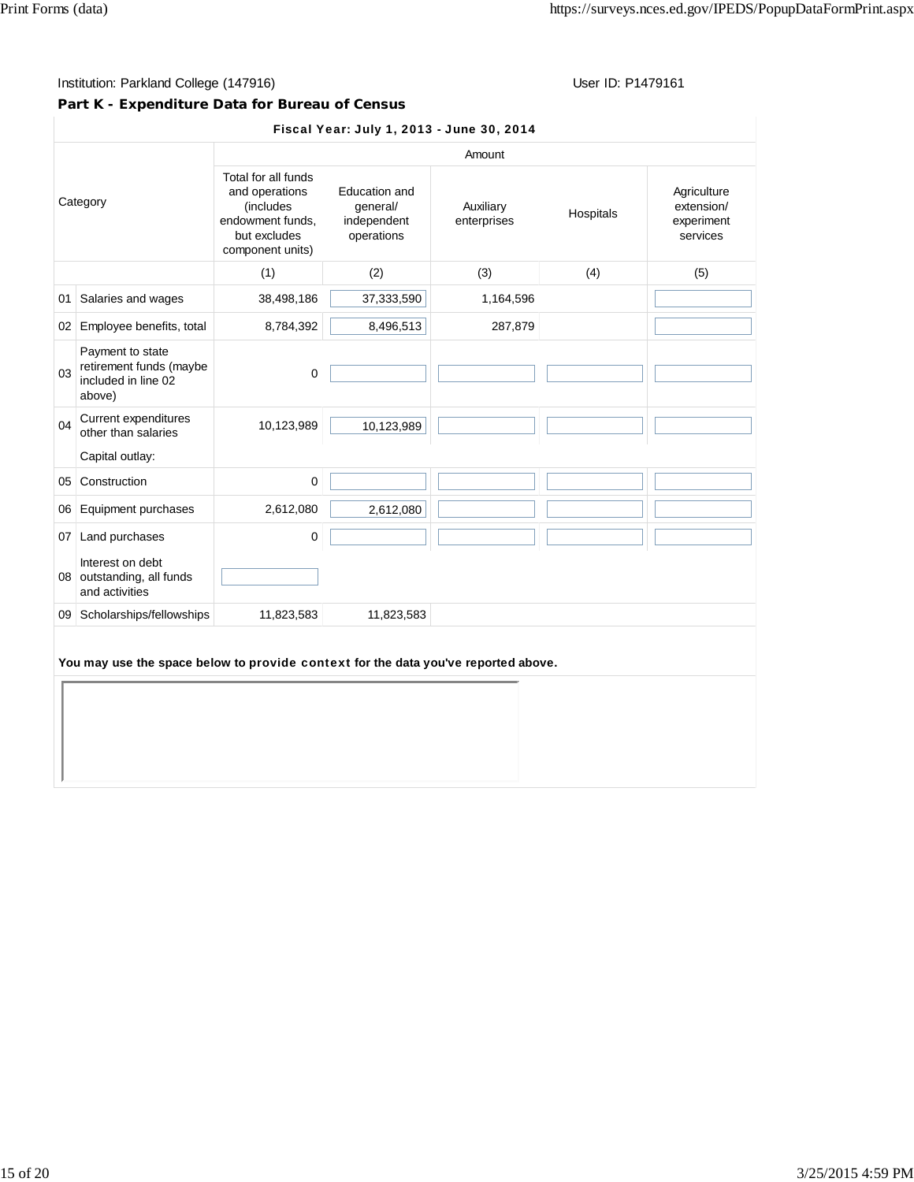# **Part K - Expenditure Data for Bureau of Census**

| Fiscal Year: July 1, 2013 - June 30, 2014 |                                                                                    |                                                                                                            |                                                        |                          |           |                                                     |  |  |
|-------------------------------------------|------------------------------------------------------------------------------------|------------------------------------------------------------------------------------------------------------|--------------------------------------------------------|--------------------------|-----------|-----------------------------------------------------|--|--|
|                                           |                                                                                    |                                                                                                            |                                                        | Amount                   |           |                                                     |  |  |
| Category                                  |                                                                                    | Total for all funds<br>and operations<br>(includes<br>endowment funds,<br>but excludes<br>component units) | Education and<br>general/<br>independent<br>operations | Auxiliary<br>enterprises | Hospitals | Agriculture<br>extension/<br>experiment<br>services |  |  |
|                                           |                                                                                    | (1)                                                                                                        | (2)                                                    | (3)                      | (4)       | (5)                                                 |  |  |
| 01                                        | Salaries and wages                                                                 | 38,498,186                                                                                                 | 37,333,590                                             | 1,164,596                |           |                                                     |  |  |
|                                           | 02 Employee benefits, total                                                        | 8,784,392                                                                                                  | 8,496,513                                              | 287,879                  |           |                                                     |  |  |
| 03                                        | Payment to state<br>retirement funds (maybe<br>included in line 02<br>above)       | $\mathbf 0$                                                                                                |                                                        |                          |           |                                                     |  |  |
| 04                                        | Current expenditures<br>other than salaries                                        | 10,123,989                                                                                                 | 10,123,989                                             |                          |           |                                                     |  |  |
|                                           | Capital outlay:                                                                    |                                                                                                            |                                                        |                          |           |                                                     |  |  |
|                                           | 05 Construction                                                                    | $\mathbf 0$                                                                                                |                                                        |                          |           |                                                     |  |  |
|                                           | 06 Equipment purchases                                                             | 2,612,080                                                                                                  | 2,612,080                                              |                          |           |                                                     |  |  |
| 07                                        | Land purchases                                                                     | $\mathbf 0$                                                                                                |                                                        |                          |           |                                                     |  |  |
|                                           | Interest on debt<br>08 outstanding, all funds<br>and activities                    |                                                                                                            |                                                        |                          |           |                                                     |  |  |
|                                           | 09 Scholarships/fellowships                                                        | 11,823,583                                                                                                 | 11,823,583                                             |                          |           |                                                     |  |  |
|                                           | You may use the space below to provide context for the data you've reported above. |                                                                                                            |                                                        |                          |           |                                                     |  |  |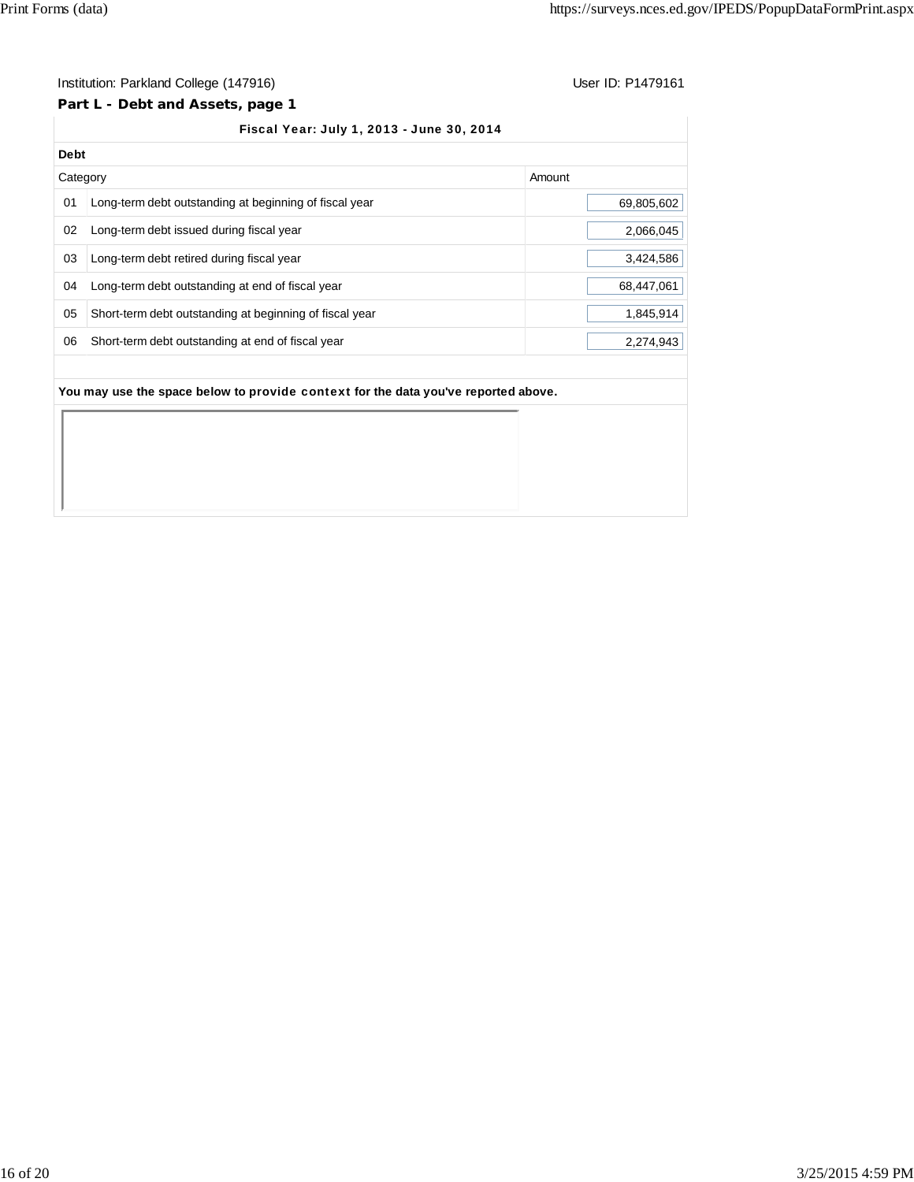### **Part L - Debt and Assets, page 1**

#### Fiscal Year: July 1, 2013 - June 30, 2014

| <b>Debt</b> |                                                         |            |
|-------------|---------------------------------------------------------|------------|
| Category    |                                                         | Amount     |
| 01          | Long-term debt outstanding at beginning of fiscal year  | 69,805,602 |
| 02          | Long-term debt issued during fiscal year                | 2,066,045  |
| 03          | Long-term debt retired during fiscal year               | 3,424,586  |
| 04          | Long-term debt outstanding at end of fiscal year        | 68,447,061 |
| 05          | Short-term debt outstanding at beginning of fiscal year | 1,845,914  |
| 06          | Short-term debt outstanding at end of fiscal year       | 2,274,943  |

#### **You may use the space below to** provide context **for the data you've reported above.**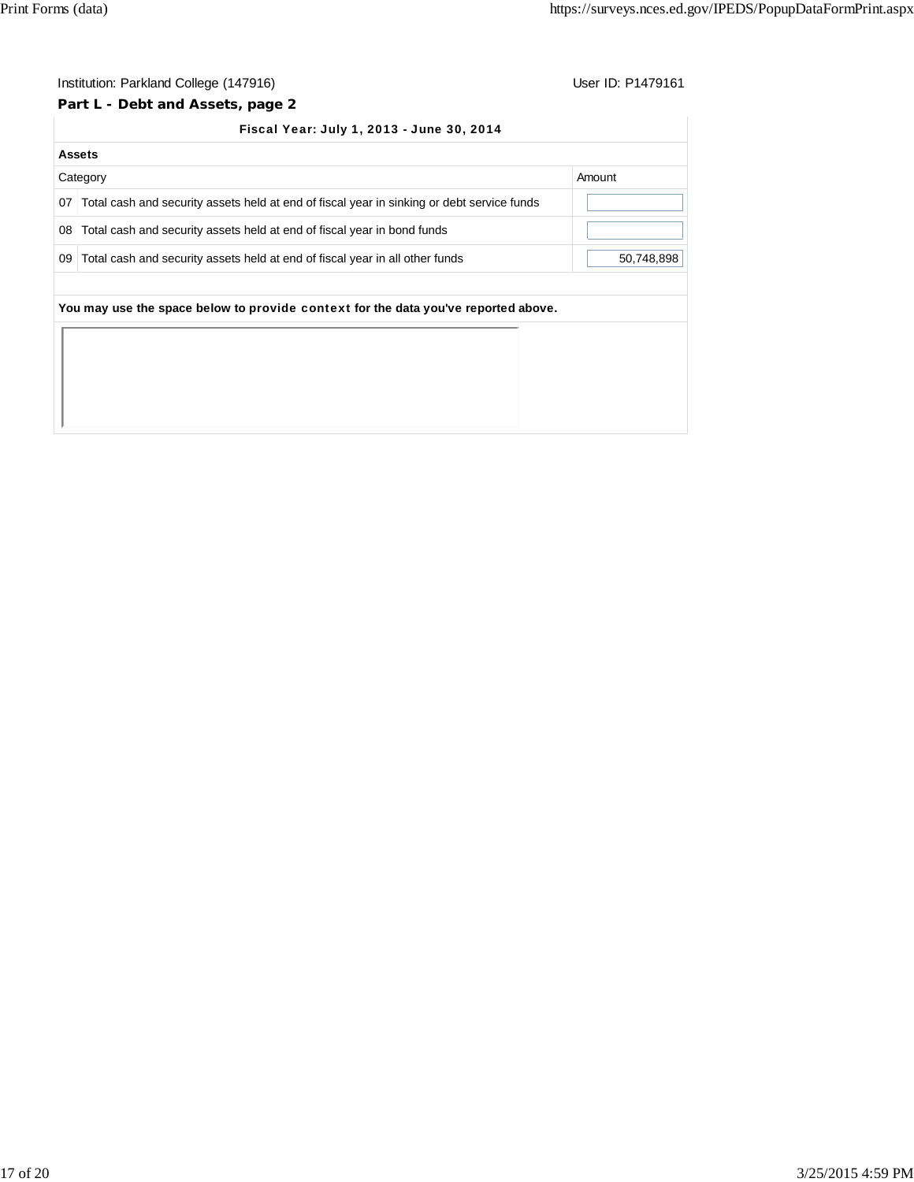# **Part L - Debt and Assets, page 2**

### Fiscal Year: July 1, 2013 - June 30, 2014

| <b>Assets</b>                                                                                 |            |  |  |  |
|-----------------------------------------------------------------------------------------------|------------|--|--|--|
| Category<br>Amount                                                                            |            |  |  |  |
| 07 Total cash and security assets held at end of fiscal year in sinking or debt service funds |            |  |  |  |
| 08 Total cash and security assets held at end of fiscal year in bond funds                    |            |  |  |  |
| 09 Total cash and security assets held at end of fiscal year in all other funds               | 50,748,898 |  |  |  |
|                                                                                               |            |  |  |  |
| You may use the space below to provide context for the data you've reported above.            |            |  |  |  |
|                                                                                               |            |  |  |  |
|                                                                                               |            |  |  |  |
|                                                                                               |            |  |  |  |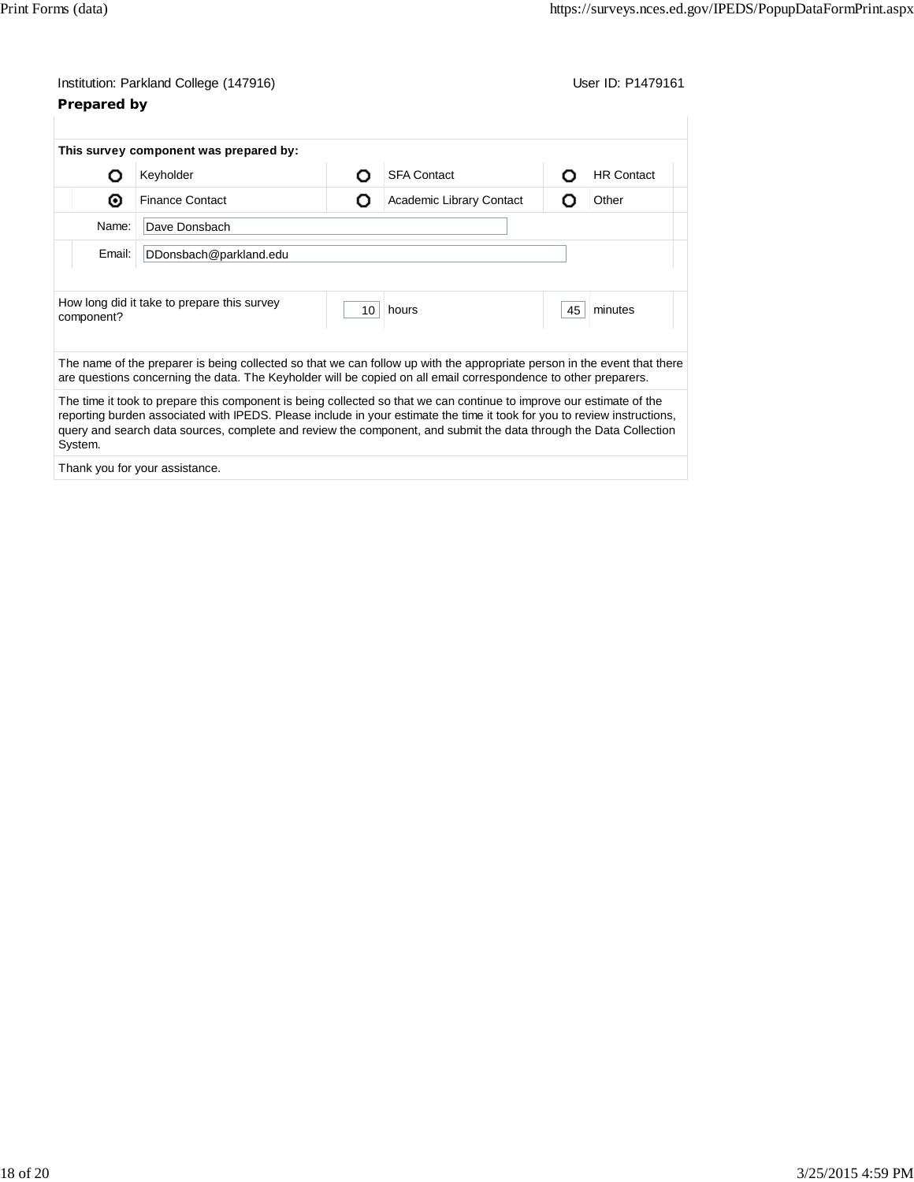# **Prepared by**

|            | This survey component was prepared by:                                                                                                                                                                                                                                                                                                                                |    |                          |    |                   |
|------------|-----------------------------------------------------------------------------------------------------------------------------------------------------------------------------------------------------------------------------------------------------------------------------------------------------------------------------------------------------------------------|----|--------------------------|----|-------------------|
| Ω          | Keyholder                                                                                                                                                                                                                                                                                                                                                             | റ  | <b>SFA Contact</b>       | O  | <b>HR Contact</b> |
| ⊙          | <b>Finance Contact</b>                                                                                                                                                                                                                                                                                                                                                | O  | Academic Library Contact |    | Other             |
| Name:      | Dave Donsbach                                                                                                                                                                                                                                                                                                                                                         |    |                          |    |                   |
| Email:     | DDonsbach@parkland.edu                                                                                                                                                                                                                                                                                                                                                |    |                          |    |                   |
|            |                                                                                                                                                                                                                                                                                                                                                                       |    |                          |    |                   |
| component? | How long did it take to prepare this survey                                                                                                                                                                                                                                                                                                                           | 10 | hours                    | 45 | minutes           |
|            |                                                                                                                                                                                                                                                                                                                                                                       |    |                          |    |                   |
|            | The name of the preparer is being collected so that we can follow up with the appropriate person in the event that there<br>are questions concerning the data. The Keyholder will be copied on all email correspondence to other preparers.                                                                                                                           |    |                          |    |                   |
| System.    | The time it took to prepare this component is being collected so that we can continue to improve our estimate of the<br>reporting burden associated with IPEDS. Please include in your estimate the time it took for you to review instructions,<br>query and search data sources, complete and review the component, and submit the data through the Data Collection |    |                          |    |                   |
|            | Thank you for your assistance.                                                                                                                                                                                                                                                                                                                                        |    |                          |    |                   |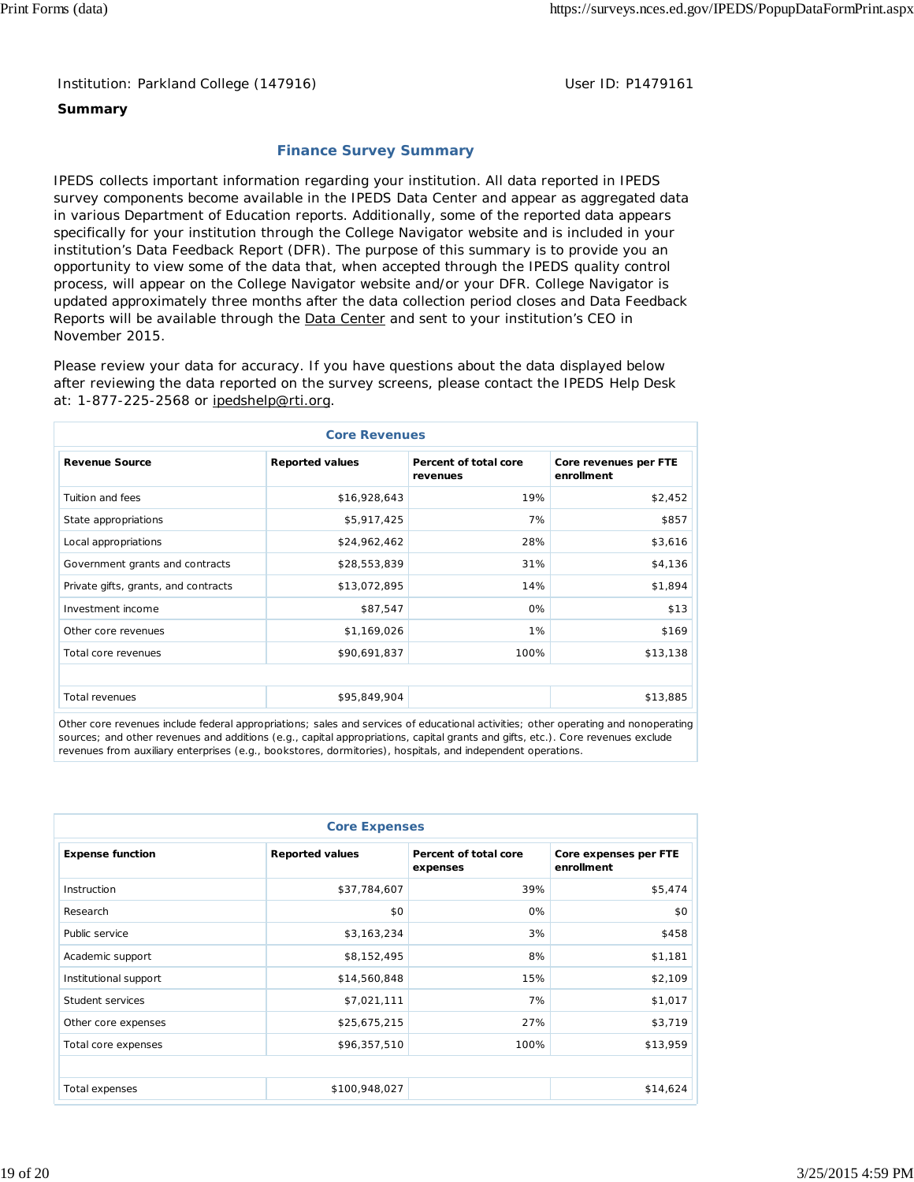# **Summary**

# **Finance Survey Summary**

IPEDS collects important information regarding your institution. All data reported in IPEDS survey components become available in the IPEDS Data Center and appear as aggregated data in various Department of Education reports. Additionally, some of the reported data appears specifically for your institution through the College Navigator website and is included in your institution's Data Feedback Report (DFR). The purpose of this summary is to provide you an opportunity to view some of the data that, when accepted through the IPEDS quality control process, will appear on the College Navigator website and/or your DFR. College Navigator is updated approximately three months after the data collection period closes and Data Feedback Reports will be available through the **Data Center** and sent to your institution's CEO in November 2015.

Please review your data for accuracy. If you have questions about the data displayed below after reviewing the data reported on the survey screens, please contact the IPEDS Help Desk at: 1-877-225-2568 or ipedshelp@rti.org.

| <b>Core Revenues</b>                 |                        |                                   |                                     |  |  |  |  |
|--------------------------------------|------------------------|-----------------------------------|-------------------------------------|--|--|--|--|
| <b>Revenue Source</b>                | <b>Reported values</b> | Percent of total core<br>revenues | Core revenues per FTE<br>enrollment |  |  |  |  |
| Tuition and fees                     | \$16,928,643           | 19%                               | \$2,452                             |  |  |  |  |
| State appropriations                 | \$5,917,425            | 7%                                | \$857                               |  |  |  |  |
| Local appropriations                 | \$24,962,462           | 28%                               | \$3,616                             |  |  |  |  |
| Government grants and contracts      | \$28,553,839           | 31%                               | \$4,136                             |  |  |  |  |
| Private gifts, grants, and contracts | \$13,072,895           | 14%                               | \$1,894                             |  |  |  |  |
| Investment income                    | \$87,547               | 0%                                | \$13                                |  |  |  |  |
| Other core revenues                  | \$1,169,026            | 1%                                | \$169                               |  |  |  |  |
| Total core revenues                  | \$90,691,837           | 100%                              | \$13,138                            |  |  |  |  |
|                                      |                        |                                   |                                     |  |  |  |  |
| Total revenues                       | \$95,849,904           |                                   | \$13,885                            |  |  |  |  |

Other core revenues include federal appropriations; sales and services of educational activities; other operating and nonoperating sources; and other revenues and additions (e.g., capital appropriations, capital grants and gifts, etc.). Core revenues exclude revenues from auxiliary enterprises (e.g., bookstores, dormitories), hospitals, and independent operations.

| <b>Core Expenses</b>    |                        |                                   |                                     |  |  |  |  |  |
|-------------------------|------------------------|-----------------------------------|-------------------------------------|--|--|--|--|--|
| <b>Expense function</b> | <b>Reported values</b> | Percent of total core<br>expenses | Core expenses per FTE<br>enrollment |  |  |  |  |  |
| Instruction             | \$37,784,607           | 39%                               | \$5,474                             |  |  |  |  |  |
| Research                | \$0                    | 0%                                | \$0                                 |  |  |  |  |  |
| Public service          | \$3,163,234            | 3%                                | \$458                               |  |  |  |  |  |
| Academic support        | \$8,152,495            | 8%                                | \$1,181                             |  |  |  |  |  |
| Institutional support   | \$14,560,848           | 15%                               | \$2,109                             |  |  |  |  |  |
| Student services        | \$7,021,111            | 7%                                | \$1,017                             |  |  |  |  |  |
| Other core expenses     | \$25,675,215           | 27%                               | \$3,719                             |  |  |  |  |  |
| Total core expenses     | \$96,357,510           | 100%                              | \$13,959                            |  |  |  |  |  |
|                         |                        |                                   |                                     |  |  |  |  |  |
| Total expenses          | \$100,948,027          |                                   | \$14,624                            |  |  |  |  |  |